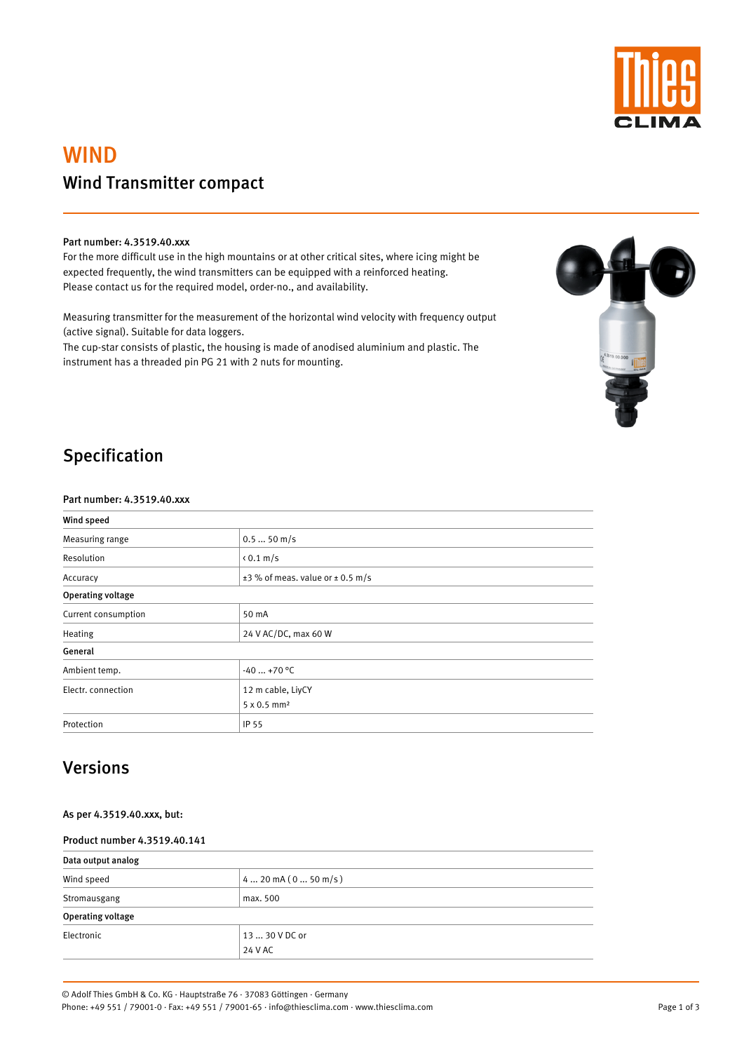

# WIND Wind Transmitter compact

#### Part number: 4.3519.40.xxx

For the more difficult use in the high mountains or at other critical sites, where icing might be expected frequently, the wind transmitters can be equipped with a reinforced heating. Please contact us for the required model, order-no., and availability.

Measuring transmitter for the measurement of the horizontal wind velocity with frequency output (active signal). Suitable for data loggers.

The cup-star consists of plastic, the housing is made of anodised aluminium and plastic. The instrument has a threaded pin PG 21 with 2 nuts for mounting.



### Specification

#### Part number: 4.3519.40.xxx

| Wind speed               |                                           |  |  |  |
|--------------------------|-------------------------------------------|--|--|--|
| Measuring range          | $0.550$ m/s                               |  |  |  |
| Resolution               | $\langle 0.1 \text{ m/s}$                 |  |  |  |
| Accuracy                 | $\pm$ 3 % of meas. value or $\pm$ 0.5 m/s |  |  |  |
| <b>Operating voltage</b> |                                           |  |  |  |
| Current consumption      | 50 mA                                     |  |  |  |
| Heating                  | 24 V AC/DC, max 60 W                      |  |  |  |
| General                  |                                           |  |  |  |
| Ambient temp.            | $-40+70$ °C                               |  |  |  |
| Electr. connection       | 12 m cable, LiyCY                         |  |  |  |
|                          | 5 x 0.5 mm <sup>2</sup>                   |  |  |  |
| Protection               | IP 55                                     |  |  |  |

### Versions

#### Product number 4.3519.40.141

| Data output analog       |                      |  |  |  |
|--------------------------|----------------------|--|--|--|
| Wind speed               | $420$ mA $(050$ m/s) |  |  |  |
| Stromausgang             | max. 500             |  |  |  |
| <b>Operating voltage</b> |                      |  |  |  |
| Electronic               | 13  30 V DC or       |  |  |  |
|                          | 24 V AC              |  |  |  |

Page 1 of 3

© Adolf Thies GmbH & Co. KG · Hauptstraße 76 · 37083 Göttingen · Germany

Phone: +49 551 / 79001-0 · Fax: +49 551 / 79001-65 · info@thiesclima.com · www.thiesclima.com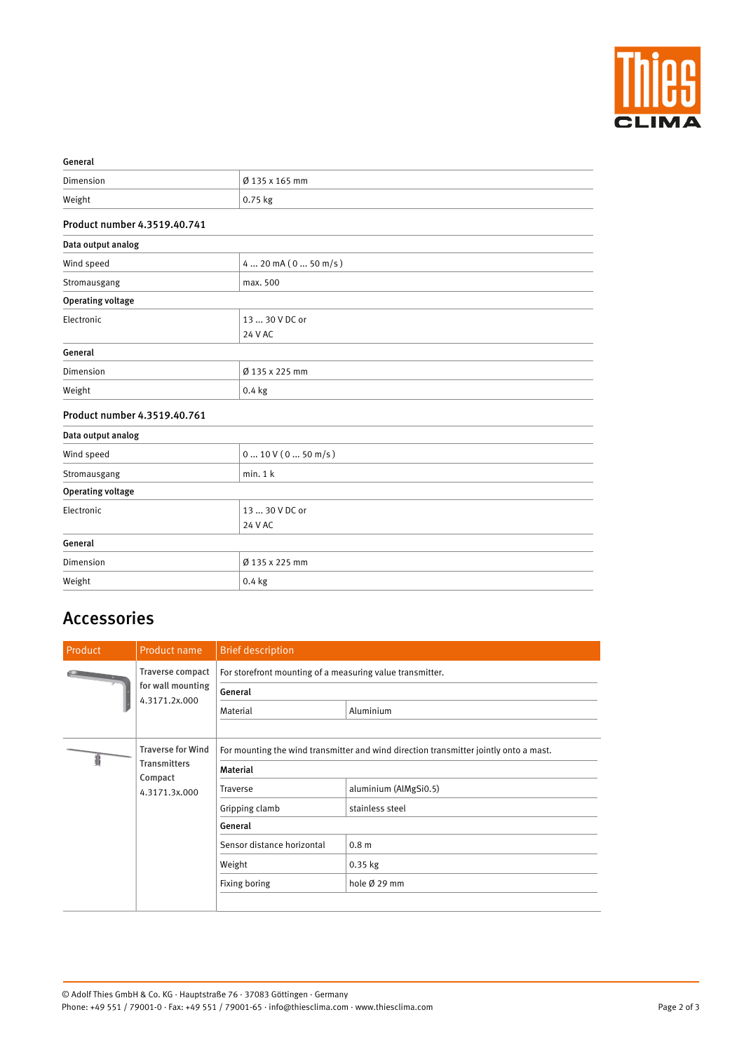

| Ø 135 x 165 mm                  |  |  |
|---------------------------------|--|--|
| 0.75 kg                         |  |  |
|                                 |  |  |
|                                 |  |  |
| $4 20$ mA $(0 50$ m/s)          |  |  |
| max. 500                        |  |  |
|                                 |  |  |
| 13  30 V DC or<br>24 V AC       |  |  |
|                                 |  |  |
| Ø 135 x 225 mm                  |  |  |
| $0.4$ kg                        |  |  |
|                                 |  |  |
|                                 |  |  |
| $0 \dots 10 V (0 \dots 50 m/s)$ |  |  |
| min.1 k                         |  |  |
|                                 |  |  |
| 13  30 V DC or                  |  |  |
| 24 V AC                         |  |  |
|                                 |  |  |
| Ø 135 x 225 mm                  |  |  |
| $0.4$ kg                        |  |  |
|                                 |  |  |

## Accessories

| Product                                                                     | Product name                                                                                             | <b>Brief description</b>                                                         |                                          |  |
|-----------------------------------------------------------------------------|----------------------------------------------------------------------------------------------------------|----------------------------------------------------------------------------------|------------------------------------------|--|
|                                                                             | <b>Traverse compact</b><br>for wall mounting<br>4.3171.2x.000                                            | For storefront mounting of a measuring value transmitter.<br>General<br>Material | Aluminium                                |  |
| <b>Traverse for Wind</b><br><b>Transmitters</b><br>Compact<br>4.3171.3x.000 | For mounting the wind transmitter and wind direction transmitter jointly onto a mast.<br><b>Material</b> |                                                                                  |                                          |  |
|                                                                             |                                                                                                          | Traverse<br>Gripping clamb                                                       | aluminium (AlMgSi0.5)<br>stainless steel |  |
|                                                                             |                                                                                                          | General                                                                          |                                          |  |
|                                                                             |                                                                                                          | Sensor distance horizontal                                                       | 0.8 <sub>m</sub>                         |  |
|                                                                             |                                                                                                          | Weight                                                                           | 0.35 kg                                  |  |
|                                                                             |                                                                                                          | Fixing boring                                                                    | hole Ø 29 mm                             |  |

© Adolf Thies GmbH & Co. KG · Hauptstraße 76 · 37083 Göttingen · Germany Phone: +49 551 / 79001-0 · Fax: +49 551 / 79001-65 · info@thiesclima.com · www.thiesclima.com